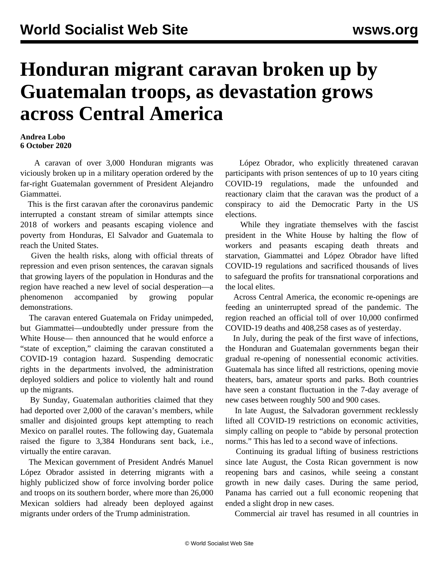## **Honduran migrant caravan broken up by Guatemalan troops, as devastation grows across Central America**

## **Andrea Lobo 6 October 2020**

 A caravan of over 3,000 Honduran migrants was viciously broken up in a military operation ordered by the far-right Guatemalan government of President Alejandro Giammattei.

 This is the first caravan after the coronavirus pandemic interrupted a constant stream of similar attempts since 2018 of workers and peasants escaping violence and poverty from Honduras, El Salvador and Guatemala to reach the United States.

 Given the health risks, along with official threats of repression and even prison sentences, the caravan signals that growing layers of the population in Honduras and the region have reached a new level of social desperation—a phenomenon accompanied by growing popular demonstrations.

 The caravan entered Guatemala on Friday unimpeded, but Giammattei—undoubtedly under pressure from the White House— then announced that he would enforce a "state of exception," claiming the caravan constituted a COVID-19 contagion hazard. Suspending democratic rights in the departments involved, the administration deployed soldiers and police to violently halt and round up the migrants.

 By Sunday, Guatemalan authorities claimed that they had deported over 2,000 of the caravan's members, while smaller and disjointed groups kept attempting to reach Mexico on parallel routes. The following day, Guatemala raised the figure to 3,384 Hondurans sent back, i.e., virtually the entire caravan.

 The Mexican government of President Andrés Manuel López Obrador assisted in deterring migrants with a highly publicized show of force involving border police and troops on its southern border, where more than 26,000 Mexican soldiers had already been deployed against migrants under orders of the Trump administration.

 López Obrador, who explicitly threatened caravan participants with prison sentences of up to 10 years citing COVID-19 regulations, made the unfounded and reactionary claim that the caravan was the product of a conspiracy to aid the Democratic Party in the US elections.

 While they ingratiate themselves with the fascist president in the White House by halting the flow of workers and peasants escaping death threats and starvation, Giammattei and López Obrador have lifted COVID-19 regulations and sacrificed thousands of lives to safeguard the profits for transnational corporations and the local elites.

 Across Central America, the economic re-openings are feeding an uninterrupted spread of the pandemic. The region reached an official toll of over 10,000 confirmed COVID-19 deaths and 408,258 cases as of yesterday.

 In July, during the peak of the first wave of infections, the Honduran and Guatemalan governments began their gradual re-opening of nonessential economic activities. Guatemala has since lifted all restrictions, opening movie theaters, bars, amateur sports and parks. Both countries have seen a constant fluctuation in the 7-day average of new cases between roughly 500 and 900 cases.

 In late August, the Salvadoran government recklessly lifted all COVID-19 restrictions on economic activities, simply calling on people to "abide by personal protection norms." This has led to a second wave of infections.

 Continuing its gradual lifting of business restrictions since late August, the Costa Rican government is now reopening bars and casinos, while seeing a constant growth in new daily cases. During the same period, Panama has carried out a full economic reopening that ended a slight drop in new cases.

Commercial air travel has resumed in all countries in